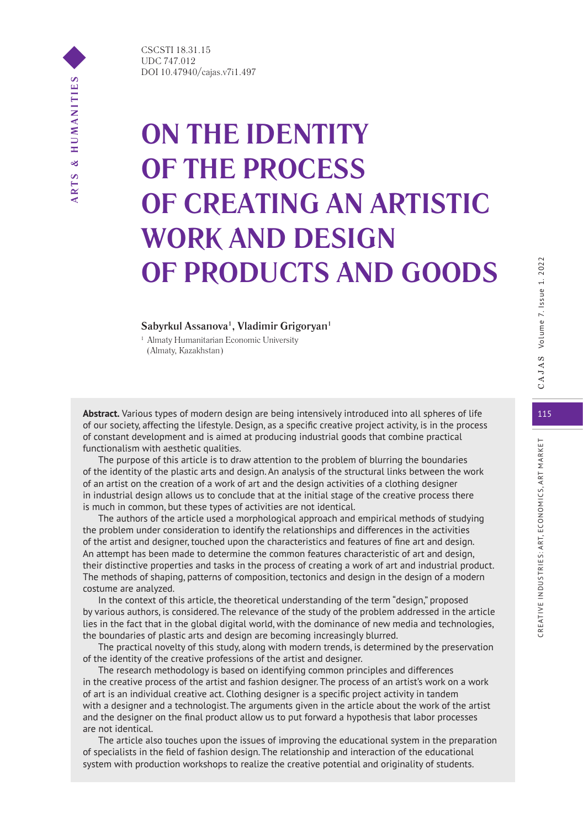CSCSTI 18.31.15 UDC 747.012 DOI 10.47940/cajas.v7i1.497

# **ON THE IDENTITY OF THE PROCESS OF CREATING AN ARTISTIC WORK AND DESIGN OF PRODUCTS AND GOODS**

## **Sabyrkul Assanova1 , Vladimir Grigoryan1**

<sup>1</sup> Almaty Humanitarian Economic University (Almaty, Kazakhstan)

**Abstract.** Various types of modern design are being intensively introduced into all spheres of life 115 of our society, affecting the lifestyle. Design, as a specific creative project activity, is in the process of constant development and is aimed at producing industrial goods that combine practical functionalism with aesthetic qualities.

The purpose of this article is to draw attention to the problem of blurring the boundaries of the identity of the plastic arts and design. An analysis of the structural links between the work of an artist on the creation of a work of art and the design activities of a clothing designer in industrial design allows us to conclude that at the initial stage of the creative process there is much in common, but these types of activities are not identical.

The authors of the article used a morphological approach and empirical methods of studying the problem under consideration to identify the relationships and differences in the activities of the artist and designer, touched upon the characteristics and features of fine art and design. An attempt has been made to determine the common features characteristic of art and design, their distinctive properties and tasks in the process of creating a work of art and industrial product. The methods of shaping, patterns of composition, tectonics and design in the design of a modern costume are analyzed.

In the context of this article, the theoretical understanding of the term "design," proposed by various authors, is considered. The relevance of the study of the problem addressed in the article lies in the fact that in the global digital world, with the dominance of new media and technologies, the boundaries of plastic arts and design are becoming increasingly blurred.

The practical novelty of this study, along with modern trends, is determined by the preservation of the identity of the creative professions of the artist and designer.

The research methodology is based on identifying common principles and differences in the creative process of the artist and fashion designer. The process of an artist's work on a work of art is an individual creative act. Clothing designer is a specific project activity in tandem with a designer and a technologist. The arguments given in the article about the work of the artist and the designer on the final product allow us to put forward a hypothesis that labor processes are not identical.

The article also touches upon the issues of improving the educational system in the preparation of specialists in the field of fashion design. The relationship and interaction of the educational system with production workshops to realize the creative potential and originality of students.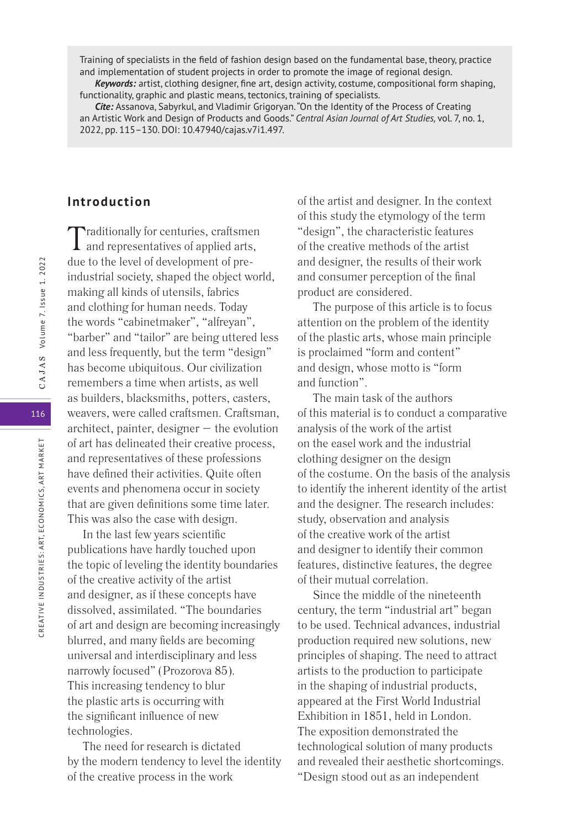Training of specialists in the field of fashion design based on the fundamental base, theory, practice and implementation of student projects in order to promote the image of regional design.

*Keywords:* artist, clothing designer, fine art, design activity, costume, compositional form shaping, functionality, graphic and plastic means, tectonics, training of specialists.

*Cite:* Assanova, Sabyrkul, and Vladimir Grigoryan. "On the Identity of the Process of Creating an Artistic Work and Design of Products and Goods." *Central Asian Journal of Art Studies,* vol. 7, no. 1, 2022, pp. 115–130. DOI: 10.47940/cajas.v7i1.497.

# **Introduction**

Traditionally for centuries, craftsmen and representatives of applied arts, due to the level of development of preindustrial society, shaped the object world, making all kinds of utensils, fabrics and clothing for human needs. Today the words "cabinetmaker", "alfreyan", "barber" and "tailor" are being uttered less and less frequently, but the term "design" has become ubiquitous. Our civilization remembers a time when artists, as well as builders, blacksmiths, potters, casters, weavers, were called craftsmen. Craftsman, architect, painter, designer – the evolution of art has delineated their creative process, and representatives of these professions have defined their activities. Quite often events and phenomena occur in society that are given definitions some time later. This was also the case with design.

In the last few years scientific publications have hardly touched upon the topic of leveling the identity boundaries of the creative activity of the artist and designer, as if these concepts have dissolved, assimilated. "The boundaries of art and design are becoming increasingly blurred, and many fields are becoming universal and interdisciplinary and less narrowly focused" (Prozorova 85). This increasing tendency to blur the plastic arts is occurring with the significant influence of new technologies.

The need for research is dictated by the modern tendency to level the identity of the creative process in the work

of the artist and designer. In the context of this study the etymology of the term "design", the characteristic features of the creative methods of the artist and designer, the results of their work and consumer perception of the final product are considered.

The purpose of this article is to focus attention on the problem of the identity of the plastic arts, whose main principle is proclaimed "form and content" and design, whose motto is "form and function".

The main task of the authors of this material is to conduct a comparative analysis of the work of the artist on the easel work and the industrial clothing designer on the design of the costume. On the basis of the analysis to identify the inherent identity of the artist and the designer. The research includes: study, observation and analysis of the creative work of the artist and designer to identify their common features, distinctive features, the degree of their mutual correlation.

Since the middle of the nineteenth century, the term "industrial art" began to be used. Technical advances, industrial production required new solutions, new principles of shaping. The need to attract artists to the production to participate in the shaping of industrial products, appeared at the First World Industrial Exhibition in 1851, held in London. The exposition demonstrated the technological solution of many products and revealed their aesthetic shortcomings. "Design stood out as an independent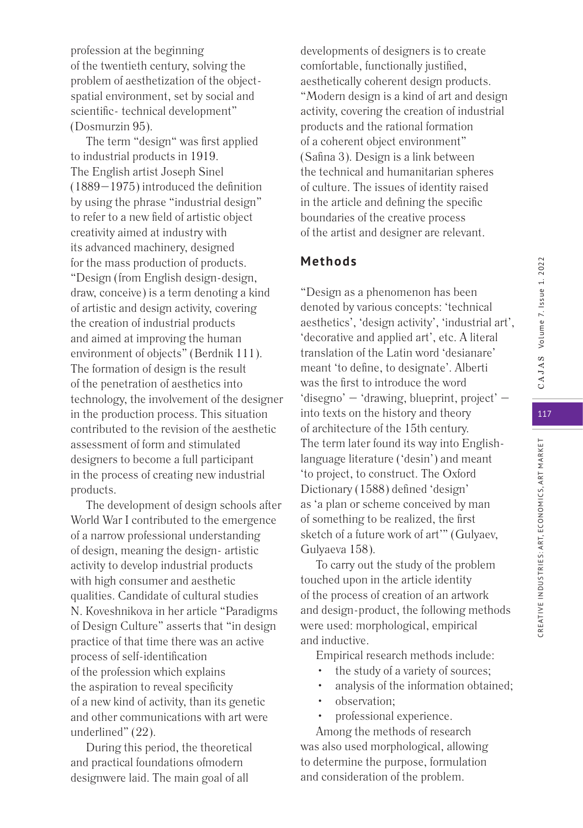profession at the beginning of the twentieth century, solving the problem of aesthetization of the objectspatial environment, set by social and scientific- technical development" (Dosmurzin 95).

The term "design" was first applied to industrial products in 1919. The English artist Joseph Sinel (1889–1975) introduced the definition by using the phrase "industrial design" to refer to a new field of artistic object creativity aimed at industry with its advanced machinery, designed for the mass production of products. "Design (from English design-design, draw, conceive) is a term denoting a kind of artistic and design activity, covering the creation of industrial products and aimed at improving the human environment of objects" (Berdnik 111). The formation of design is the result of the penetration of aesthetics into technology, the involvement of the designer in the production process. This situation contributed to the revision of the aesthetic assessment of form and stimulated designers to become a full participant in the process of creating new industrial products.

The development of design schools after World War I contributed to the emergence of a narrow professional understanding of design, meaning the design- artistic activity to develop industrial products with high consumer and aesthetic qualities. Candidate of cultural studies N. Koveshnikova in her article "Paradigms of Design Culture" asserts that "in design practice of that time there was an active process of self-identification of the profession which explains the aspiration to reveal specificity of a new kind of activity, than its genetic and other communications with art were underlined" (22).

During this period, the theoretical and practical foundations ofmodern designwere laid. The main goal of all

developments of designers is to create comfortable, functionally justified, aesthetically coherent design products. "Modern design is a kind of art and design activity, covering the creation of industrial products and the rational formation of a coherent object environment" (Safina 3). Design is a link between the technical and humanitarian spheres of culture. The issues of identity raised in the article and defining the specific boundaries of the creative process of the artist and designer are relevant.

# **Methods**

"Design as a phenomenon has been denoted by various concepts: 'technical aesthetics', 'design activity', 'industrial art', 'decorative and applied art', etc. A literal translation of the Latin word 'desianare' meant 'to define, to designate'. Alberti was the first to introduce the word 'disegno' – 'drawing, blueprint, project' – into texts on the history and theory of architecture of the 15th century. The term later found its way into Englishlanguage literature ('desin') and meant 'to project, to construct. The Oxford Dictionary (1588) defined 'design' as 'a plan or scheme conceived by man of something to be realized, the first sketch of a future work of art'" (Gulyaev, Gulyaeva 158).

To carry out the study of the problem touched upon in the article identity of the process of creation of an artwork and design-product, the following methods were used: morphological, empirical and inductive.

Empirical research methods include:

- the study of a variety of sources;
- analysis of the information obtained;
- observation;
- professional experience.

Among the methods of research was also used morphological, allowing to determine the purpose, formulation and consideration of the problem.

CREATIVE INDUSTRIES: ART, ECONOMICS, ART MARKET

CREATIVE INDUSTRIES: ART, ECONOMICS, ART MARKET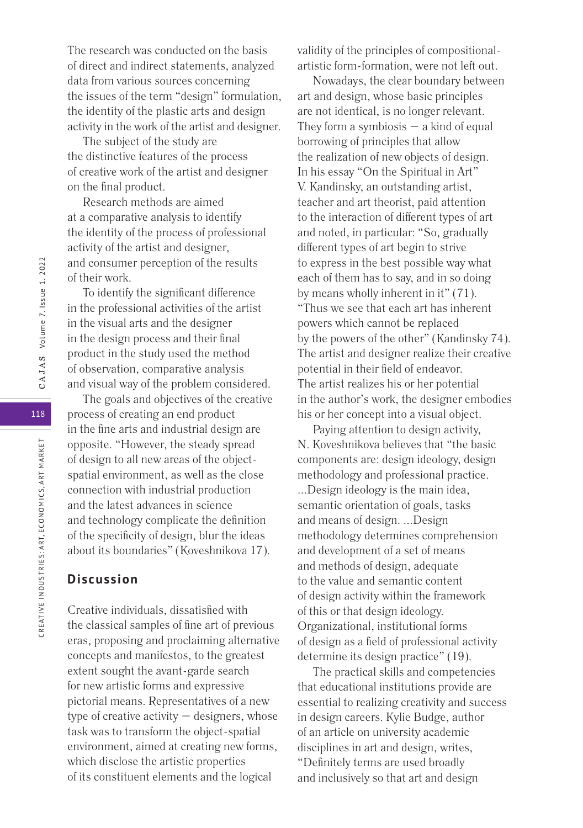The research was conducted on the basis of direct and indirect statements, analyzed data from various sources concerning the issues of the term "design" formulation, the identity of the plastic arts and design activity in the work of the artist and designer.

The subject of the study are the distinctive features of the process of creative work of the artist and designer on the final product.

Research methods are aimed at a comparative analysis to identify the identity of the process of professional activity of the artist and designer, and consumer perception of the results of their work.

To identify the significant difference in the professional activities of the artist in the visual arts and the designer in the design process and their final product in the study used the method of observation, comparative analysis and visual way of the problem considered.

The goals and objectives of the creative process of creating an end product in the fine arts and industrial design are opposite. "However, the steady spread of design to all new areas of the objectspatial environment, as well as the close connection with industrial production and the latest advances in science and technology complicate the definition of the specificity of design, blur the ideas about its boundaries" (Koveshnikova 17).

# **Discussion**

Creative individuals, dissatisfied with the classical samples of fine art of previous eras, proposing and proclaiming alternative concepts and manifestos, to the greatest extent sought the avant-garde search for new artistic forms and expressive pictorial means. Representatives of a new type of creative activity – designers, whose task was to transform the object-spatial environment, aimed at creating new forms, which disclose the artistic properties of its constituent elements and the logical

validity of the principles of compositionalartistic form-formation, were not left out.

Nowadays, the clear boundary between art and design, whose basic principles are not identical, is no longer relevant. They form a symbiosis  $-$  a kind of equal borrowing of principles that allow the realization of new objects of design. In his essay "On the Spiritual in Art" V. Kandinsky, an outstanding artist, teacher and art theorist, paid attention to the interaction of different types of art and noted, in particular: "So, gradually different types of art begin to strive to express in the best possible way what each of them has to say, and in so doing by means wholly inherent in it" (71). "Thus we see that each art has inherent powers which cannot be replaced by the powers of the other" (Kandinsky 74). The artist and designer realize their creative potential in their field of endeavor. The artist realizes his or her potential in the author's work, the designer embodies his or her concept into a visual object.

Paying attention to design activity, N. Koveshnikova believes that "the basic components are: design ideology, design methodology and professional practice. ...Design ideology is the main idea, semantic orientation of goals, tasks and means of design. ...Design methodology determines comprehension and development of a set of means and methods of design, adequate to the value and semantic content of design activity within the framework of this or that design ideology. Organizational, institutional forms of design as a field of professional activity determine its design practice" (19).

The practical skills and competencies that educational institutions provide are essential to realizing creativity and success in design careers. Kylie Budge, author of an article on university academic disciplines in art and design, writes, "Definitely terms are used broadly and inclusively so that art and design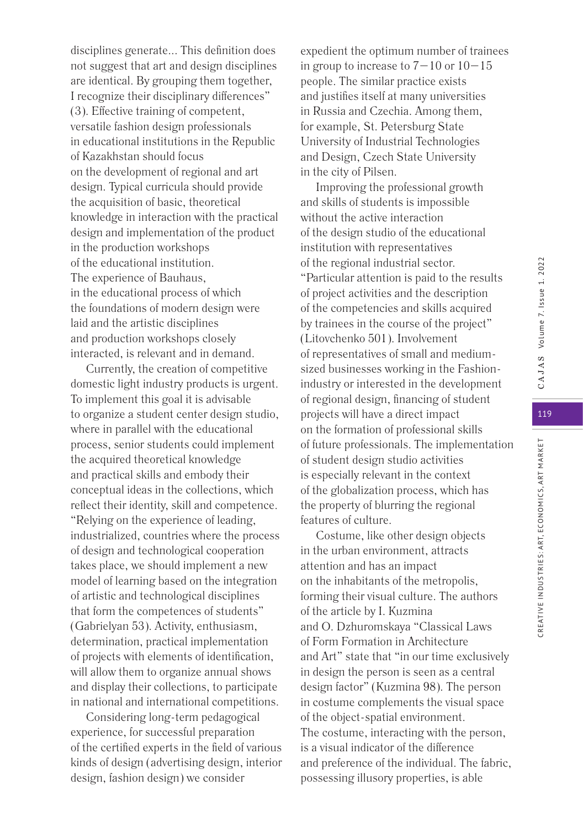disciplines generate... This definition does not suggest that art and design disciplines are identical. By grouping them together, I recognize their disciplinary differences" (3). Effective training of competent, versatile fashion design professionals in educational institutions in the Republic of Kazakhstan should focus on the development of regional and art design. Typical curricula should provide the acquisition of basic, theoretical knowledge in interaction with the practical design and implementation of the product in the production workshops of the educational institution. The experience of Bauhaus, in the educational process of which the foundations of modern design were laid and the artistic disciplines and production workshops closely interacted, is relevant and in demand.

Currently, the creation of competitive domestic light industry products is urgent. To implement this goal it is advisable to organize a student center design studio, where in parallel with the educational process, senior students could implement the acquired theoretical knowledge and practical skills and embody their conceptual ideas in the collections, which reflect their identity, skill and competence. "Relying on the experience of leading, industrialized, countries where the process of design and technological cooperation takes place, we should implement a new model of learning based on the integration of artistic and technological disciplines that form the competences of students" (Gabrielyan 53). Activity, enthusiasm, determination, practical implementation of projects with elements of identification, will allow them to organize annual shows and display their collections, to participate in national and international competitions.

Considering long-term pedagogical experience, for successful preparation of the certified experts in the field of various kinds of design (advertising design, interior design, fashion design) we consider

expedient the optimum number of trainees in group to increase to  $7-10$  or  $10-15$ people. The similar practice exists and justifies itself at many universities in Russia and Czechia. Among them, for example, St. Petersburg State University of Industrial Technologies and Design, Czech State University in the city of Pilsen.

Improving the professional growth and skills of students is impossible without the active interaction of the design studio of the educational institution with representatives of the regional industrial sector. "Particular attention is paid to the results of project activities and the description of the competencies and skills acquired by trainees in the course of the project" (Litovchenko 501). Involvement of representatives of small and mediumsized businesses working in the Fashionindustry or interested in the development of regional design, financing of student projects will have a direct impact on the formation of professional skills of future professionals. The implementation of student design studio activities is especially relevant in the context of the globalization process, which has the property of blurring the regional features of culture.

Costume, like other design objects in the urban environment, attracts attention and has an impact on the inhabitants of the metropolis, forming their visual culture. The authors of the article by I. Kuzmina and O. Dzhuromskaya "Classical Laws of Form Formation in Architecture and Art" state that "in our time exclusively in design the person is seen as a central design factor" (Kuzmina 98). The person in costume complements the visual space of the object-spatial environment. The costume, interacting with the person, is a visual indicator of the difference and preference of the individual. The fabric, possessing illusory properties, is able

CREATIVE INDUSTRIES: ART, ECONOMICS, ART MARKET

CREATIVE INDUSTRIES: ART, ECONOMICS, ART MARKET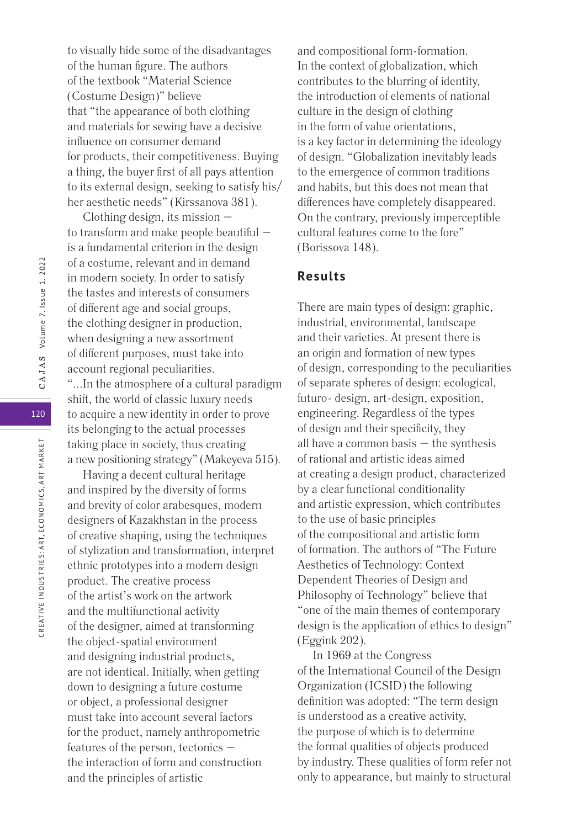to visually hide some of the disadvantages of the human figure. The authors of the textbook "Material Science (Costume Design)" believe that "the appearance of both clothing and materials for sewing have a decisive influence on consumer demand for products, their competitiveness. Buying a thing, the buyer first of all pays attention to its external design, seeking to satisfy his/ her aesthetic needs" (Kirssanova 381).

Clothing design, its mission – to transform and make people beautiful – is a fundamental criterion in the design of a costume, relevant and in demand in modern society. In order to satisfy the tastes and interests of consumers of different age and social groups, the clothing designer in production, when designing a new assortment of different purposes, must take into account regional peculiarities.

"...In the atmosphere of a cultural paradigm shift, the world of classic luxury needs to acquire a new identity in order to prove its belonging to the actual processes taking place in society, thus creating a new positioning strategy" (Makeyeva 515).

Having a decent cultural heritage and inspired by the diversity of forms and brevity of color arabesques, modern designers of Kazakhstan in the process of creative shaping, using the techniques of stylization and transformation, interpret ethnic prototypes into a modern design product. The creative process of the artist's work on the artwork and the multifunctional activity of the designer, aimed at transforming the object-spatial environment and designing industrial products, are not identical. Initially, when getting down to designing a future costume or object, a professional designer must take into account several factors for the product, namely anthropometric features of the person, tectonics – the interaction of form and construction and the principles of artistic

and compositional form-formation. In the context of globalization, which contributes to the blurring of identity, the introduction of elements of national culture in the design of clothing in the form of value orientations, is a key factor in determining the ideology of design. "Globalization inevitably leads to the emergence of common traditions and habits, but this does not mean that differences have completely disappeared. On the contrary, previously imperceptible cultural features come to the fore" (Borissova 148).

# **Results**

There are main types of design: graphic, industrial, environmental, landscape and their varieties. At present there is an origin and formation of new types of design, corresponding to the peculiarities of separate spheres of design: ecological, futuro- design, art-design, exposition, engineering. Regardless of the types of design and their specificity, they all have a common basis  $-$  the synthesis of rational and artistic ideas aimed at creating a design product, characterized by a clear functional conditionality and artistic expression, which contributes to the use of basic principles of the compositional and artistic form of formation. The authors of "The Future Aesthetics of Technology: Context Dependent Theories of Design and Philosophy of Technology" believe that "one of the main themes of contemporary design is the application of ethics to design" (Eggink 202).

In 1969 at the Congress of the International Council of the Design Organization (ICSID) the following definition was adopted: "The term design is understood as a creative activity, the purpose of which is to determine the formal qualities of objects produced by industry. These qualities of form refer not only to appearance, but mainly to structural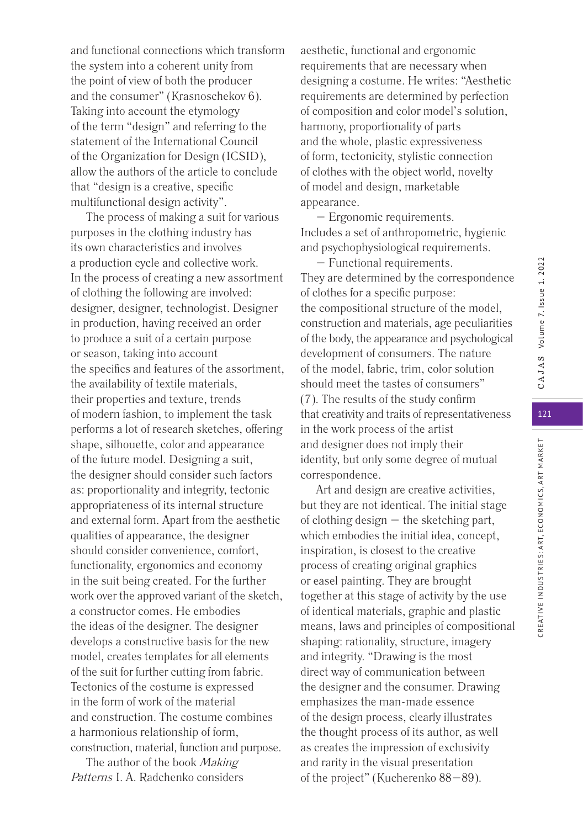and functional connections which transform the system into a coherent unity from the point of view of both the producer and the consumer" (Krasnoschekov 6). Taking into account the etymology of the term "design" and referring to the statement of the International Council of the Organization for Design (ICSID), allow the authors of the article to conclude that "design is a creative, specific multifunctional design activity".

The process of making a suit for various purposes in the clothing industry has its own characteristics and involves a production cycle and collective work. In the process of creating a new assortment of clothing the following are involved: designer, designer, technologist. Designer in production, having received an order to produce a suit of a certain purpose or season, taking into account the specifics and features of the assortment, the availability of textile materials, their properties and texture, trends of modern fashion, to implement the task performs a lot of research sketches, offering shape, silhouette, color and appearance of the future model. Designing a suit, the designer should consider such factors as: proportionality and integrity, tectonic appropriateness of its internal structure and external form. Apart from the aesthetic qualities of appearance, the designer should consider convenience, comfort, functionality, ergonomics and economy in the suit being created. For the further work over the approved variant of the sketch, a constructor comes. He embodies the ideas of the designer. The designer develops a constructive basis for the new model, creates templates for all elements of the suit for further cutting from fabric. Tectonics of the costume is expressed in the form of work of the material and construction. The costume combines a harmonious relationship of form, construction, material, function and purpose.

The author of the book Making Patterns I. A. Radchenko considers

aesthetic, functional and ergonomic requirements that are necessary when designing a costume. He writes: "Aesthetic requirements are determined by perfection of composition and color model's solution, harmony, proportionality of parts and the whole, plastic expressiveness of form, tectonicity, stylistic connection of clothes with the object world, novelty of model and design, marketable appearance.

– Ergonomic requirements. Includes a set of anthropometric, hygienic and psychophysiological requirements.

– Functional requirements. They are determined by the correspondence of clothes for a specific purpose: the compositional structure of the model, construction and materials, age peculiarities of the body, the appearance and psychological development of consumers. The nature of the model, fabric, trim, color solution should meet the tastes of consumers" (7). The results of the study confirm that creativity and traits of representativeness in the work process of the artist and designer does not imply their identity, but only some degree of mutual correspondence.

Art and design are creative activities, but they are not identical. The initial stage of clothing design  $-$  the sketching part, which embodies the initial idea, concept, inspiration, is closest to the creative process of creating original graphics or easel painting. They are brought together at this stage of activity by the use of identical materials, graphic and plastic means, laws and principles of compositional shaping: rationality, structure, imagery and integrity. "Drawing is the most direct way of communication between the designer and the consumer. Drawing emphasizes the man-made essence of the design process, clearly illustrates the thought process of its author, as well as creates the impression of exclusivity and rarity in the visual presentation of the project" (Kucherenko 88–89).

CREATIVE INDUSTRIES: ART, ECONOMICS, ART MARKET

CREATIVE INDUSTRIES: ART, ECONOMICS, ART MARKET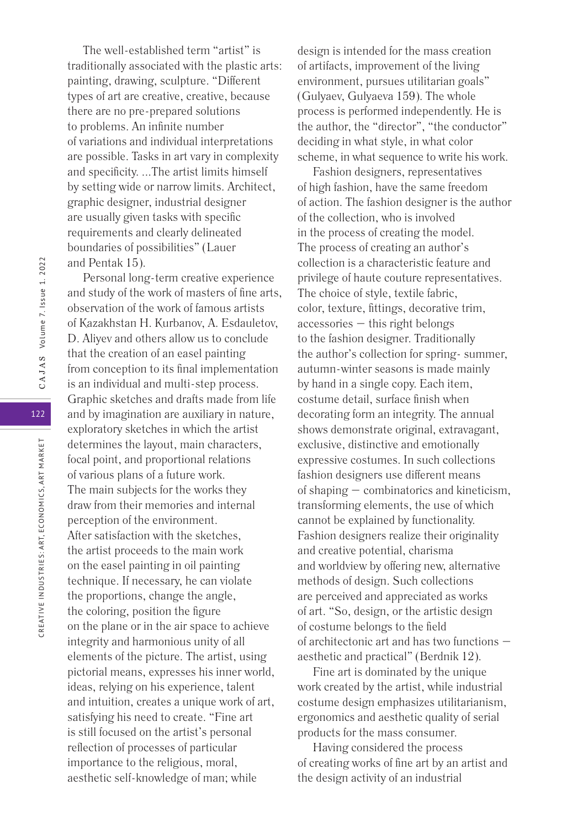The well-established term "artist" is traditionally associated with the plastic arts: painting, drawing, sculpture. "Different types of art are creative, creative, because there are no pre-prepared solutions to problems. An infinite number of variations and individual interpretations are possible. Tasks in art vary in complexity and specificity. ...The artist limits himself by setting wide or narrow limits. Architect, graphic designer, industrial designer are usually given tasks with specific requirements and clearly delineated boundaries of possibilities" (Lauer and Pentak 15).

Personal long-term creative experience and study of the work of masters of fine arts, observation of the work of famous artists of Kazakhstan H. Kurbanov, A. Esdauletov, D. Aliyev and others allow us to conclude that the creation of an easel painting from conception to its final implementation is an individual and multi-step process. Graphic sketches and drafts made from life and by imagination are auxiliary in nature, exploratory sketches in which the artist determines the layout, main characters, focal point, and proportional relations of various plans of a future work. The main subjects for the works they draw from their memories and internal perception of the environment. After satisfaction with the sketches, the artist proceeds to the main work on the easel painting in oil painting technique. If necessary, he can violate the proportions, change the angle, the coloring, position the figure on the plane or in the air space to achieve integrity and harmonious unity of all elements of the picture. The artist, using pictorial means, expresses his inner world, ideas, relying on his experience, talent and intuition, creates a unique work of art, satisfying his need to create. "Fine art is still focused on the artist's personal reflection of processes of particular importance to the religious, moral, aesthetic self-knowledge of man; while

design is intended for the mass creation of artifacts, improvement of the living environment, pursues utilitarian goals" (Gulyaev, Gulyaeva 159). The whole process is performed independently. He is the author, the "director", "the conductor" deciding in what style, in what color scheme, in what sequence to write his work.

Fashion designers, representatives of high fashion, have the same freedom of action. The fashion designer is the author of the collection, who is involved in the process of creating the model. The process of creating an author's collection is a characteristic feature and privilege of haute couture representatives. The choice of style, textile fabric, color, texture, fittings, decorative trim, accessories – this right belongs to the fashion designer. Traditionally the author's collection for spring- summer, autumn-winter seasons is made mainly by hand in a single copy. Each item, costume detail, surface finish when decorating form an integrity. The annual shows demonstrate original, extravagant, exclusive, distinctive and emotionally expressive costumes. In such collections fashion designers use different means of shaping – combinatorics and kineticism, transforming elements, the use of which cannot be explained by functionality. Fashion designers realize their originality and creative potential, charisma and worldview by offering new, alternative methods of design. Such collections are perceived and appreciated as works of art. "So, design, or the artistic design of costume belongs to the field of architectonic art and has two functions – aesthetic and practical" (Berdnik 12).

Fine art is dominated by the unique work created by the artist, while industrial costume design emphasizes utilitarianism, ergonomics and aesthetic quality of serial products for the mass consumer.

Having considered the process of creating works of fine art by an artist and the design activity of an industrial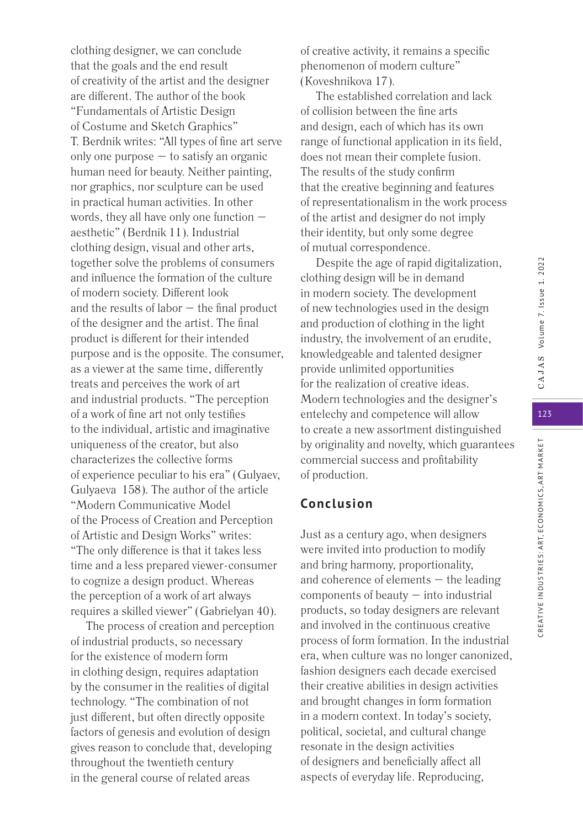123 CREATIVE INDUSTRIES: ART, ECONOMICS, ART MARKET CREATIVE INDUSTRIES: ART, ECONOMICS, ART MARKET

clothing designer, we can conclude that the goals and the end result of creativity of the artist and the designer are different. The author of the book "Fundamentals of Artistic Design of Costume and Sketch Graphics" T. Berdnik writes: "All types of fine art serve only one purpose  $-$  to satisfy an organic human need for beauty. Neither painting, nor graphics, nor sculpture can be used in practical human activities. In other words, they all have only one function – aesthetic" (Berdnik 11). Industrial clothing design, visual and other arts, together solve the problems of consumers and influence the formation of the culture of modern society. Different look and the results of labor – the final product of the designer and the artist. The final product is different for their intended purpose and is the opposite. The consumer, as a viewer at the same time, differently treats and perceives the work of art and industrial products. "The perception of a work of fine art not only testifies to the individual, artistic and imaginative uniqueness of the creator, but also characterizes the collective forms of experience peculiar to his era" (Gulyaev, Gulyaeva 158). The author of the article "Modern Communicative Model of the Process of Creation and Perception of Artistic and Design Works" writes: "The only difference is that it takes less time and a less prepared viewer-consumer to cognize a design product. Whereas the perception of a work of art always requires a skilled viewer" (Gabrielyan 40).

The process of creation and perception of industrial products, so necessary for the existence of modern form in clothing design, requires adaptation by the consumer in the realities of digital technology. "The combination of not just different, but often directly opposite factors of genesis and evolution of design gives reason to conclude that, developing throughout the twentieth century in the general course of related areas

of creative activity, it remains a specific phenomenon of modern culture" (Koveshnikova 17).

The established correlation and lack of collision between the fine arts and design, each of which has its own range of functional application in its field, does not mean their complete fusion. The results of the study confirm that the creative beginning and features of representationalism in the work process of the artist and designer do not imply their identity, but only some degree of mutual correspondence.

Despite the age of rapid digitalization, clothing design will be in demand in modern society. The development of new technologies used in the design and production of clothing in the light industry, the involvement of an erudite, knowledgeable and talented designer provide unlimited opportunities for the realization of creative ideas. Modern technologies and the designer's entelechy and competence will allow to create a new assortment distinguished by originality and novelty, which guarantees commercial success and profitability of production.

# **Conclusion**

Just as a century ago, when designers were invited into production to modify and bring harmony, proportionality, and coherence of elements – the leading components of beauty – into industrial products, so today designers are relevant and involved in the continuous creative process of form formation. In the industrial era, when culture was no longer canonized, fashion designers each decade exercised their creative abilities in design activities and brought changes in form formation in a modern context. In today's society, political, societal, and cultural change resonate in the design activities of designers and beneficially affect all aspects of everyday life. Reproducing,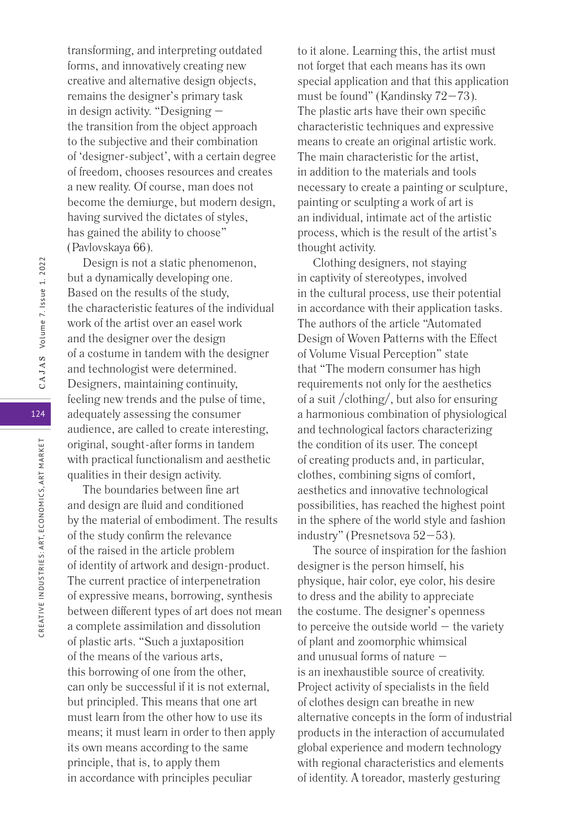transforming, and interpreting outdated forms, and innovatively creating new creative and alternative design objects, remains the designer's primary task in design activity. "Designing – the transition from the object approach to the subjective and their combination of 'designer-subject', with a certain degree of freedom, chooses resources and creates a new reality. Of course, man does not become the demiurge, but modern design, having survived the dictates of styles, has gained the ability to choose" (Pavlovskaya 66).

Design is not a static phenomenon, but a dynamically developing one. Based on the results of the study, the characteristic features of the individual work of the artist over an easel work and the designer over the design of a costume in tandem with the designer and technologist were determined. Designers, maintaining continuity, feeling new trends and the pulse of time, adequately assessing the consumer audience, are called to create interesting, original, sought-after forms in tandem with practical functionalism and aesthetic qualities in their design activity.

The boundaries between fine art and design are fluid and conditioned by the material of embodiment. The results of the study confirm the relevance of the raised in the article problem of identity of artwork and design-product. The current practice of interpenetration of expressive means, borrowing, synthesis between different types of art does not mean a complete assimilation and dissolution of plastic arts. "Such a juxtaposition of the means of the various arts, this borrowing of one from the other, can only be successful if it is not external, but principled. This means that one art must learn from the other how to use its means; it must learn in order to then apply its own means according to the same principle, that is, to apply them in accordance with principles peculiar

to it alone. Learning this, the artist must not forget that each means has its own special application and that this application must be found" (Kandinsky 72–73). The plastic arts have their own specific characteristic techniques and expressive means to create an original artistic work. The main characteristic for the artist, in addition to the materials and tools necessary to create a painting or sculpture, painting or sculpting a work of art is an individual, intimate act of the artistic process, which is the result of the artist's thought activity.

Clothing designers, not staying in captivity of stereotypes, involved in the cultural process, use their potential in accordance with their application tasks. The authors of the article "Automated Design of Woven Patterns with the Effect of Volume Visual Perception" state that "The modern consumer has high requirements not only for the aesthetics of a suit /clothing/, but also for ensuring a harmonious combination of physiological and technological factors characterizing the condition of its user. The concept of creating products and, in particular, clothes, combining signs of comfort, aesthetics and innovative technological possibilities, has reached the highest point in the sphere of the world style and fashion industry" (Presnetsova 52–53).

The source of inspiration for the fashion designer is the person himself, his physique, hair color, eye color, his desire to dress and the ability to appreciate the costume. The designer's openness to perceive the outside world  $-$  the variety of plant and zoomorphic whimsical and unusual forms of nature – is an inexhaustible source of creativity. Project activity of specialists in the field of clothes design can breathe in new alternative concepts in the form of industrial products in the interaction of accumulated global experience and modern technology with regional characteristics and elements of identity. A toreador, masterly gesturing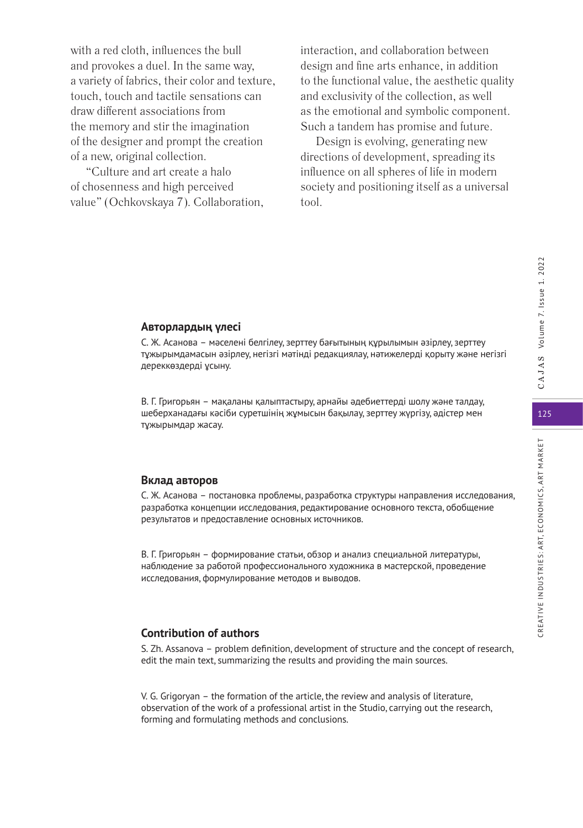with a red cloth, influences the bull and provokes a duel. In the same way, a variety of fabrics, their color and texture, touch, touch and tactile sensations can draw different associations from the memory and stir the imagination of the designer and prompt the creation of a new, original collection.

"Culture and art create a halo of chosenness and high perceived value" (Ochkovskaya 7). Collaboration, interaction, and collaboration between design and fine arts enhance, in addition to the functional value, the aesthetic quality and exclusivity of the collection, as well as the emotional and symbolic component. Such a tandem has promise and future.

Design is evolving, generating new directions of development, spreading its influence on all spheres of life in modern society and positioning itself as a universal tool.

# **Авторлардың үлесі**

C. Ж. Асанова – мәселені белгілеу, зерттеу бағытының құрылымын әзірлеу, зерттеу тұжырымдамасын әзірлеу, негізгі мәтінді редакциялау, нәтижелерді қорыту және негізгі дереккөздерді ұсыну.

В. Г. Григорьян – мақаланы қалыптастыру, арнайы әдебиеттерді шолу және талдау, шеберханадағы кәсіби суретшінің жұмысын бақылау, зерттеу жүргізу, әдістер мен тұжырымдар жасау.

#### **Вклад авторов**

C. Ж. Асанова – постановка проблемы, разработка структуры направления исследования, разработка концепции исследования, редактирование основного текста, обобщение результатов и предоставление основных источников.

В. Г. Григорьян – формирование статьи, обзор и анализ специальной литературы, наблюдение за работой профессионального художника в мастерской, проведение исследования, формулирование методов и выводов.

# **Contribution of authors**

S. Zh. Assanova – problem definition, development of structure and the concept of research, edit the main text, summarizing the results and providing the main sources.

V. G. Grigoryan – the formation of the article, the review and analysis of literature, observation of the work of a professional artist in the Studio, carrying out the research, forming and formulating methods and conclusions.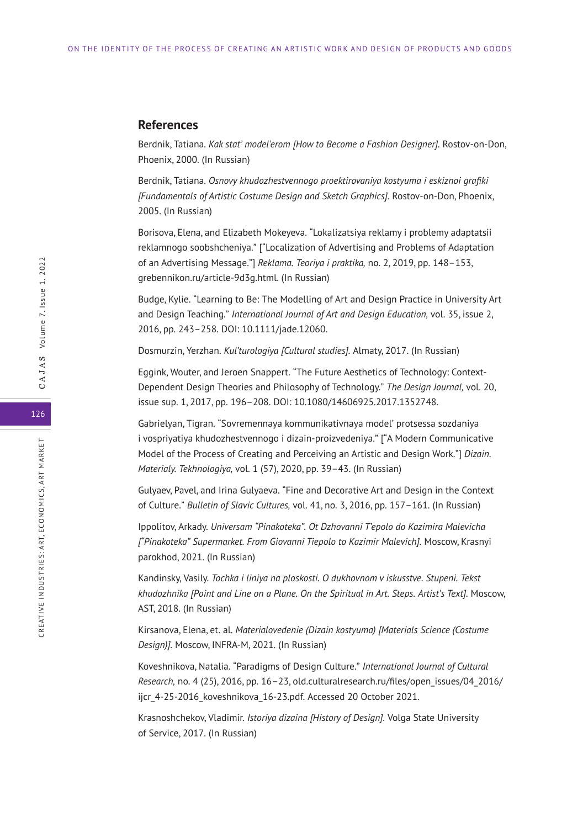# **References**

Berdnik, Tatiana. *Kak stat' model'erom [How to Become a Fashion Designer].* Rostov-on-Don, Phoenix, 2000. (In Russian)

Berdnik, Tatiana. *Osnovy khudozhestvennogo proektirovaniya kostyuma i eskiznoi grafiki [Fundamentals of Artistic Costume Design and Sketch Graphics].* Rostov-on-Don, Phoenix, 2005. (In Russian)

Borisova, Elena, and Elizabeth Mokeyeva. "Lokalizatsiya reklamy i problemy adaptatsii reklamnogo soobshcheniya." ["Localization of Advertising and Problems of Adaptation of an Advertising Message."] *Reklama. Teoriya i praktika,* no. 2, 2019, pp. 148–153, grebennikon.ru/article-9d3g.html. (In Russian)

Budge, Kylie. "Learning to Be: The Modelling of Art and Design Practice in University Art and Design Teaching." *International Journal of Art and Design Education,* vol. 35, issue 2, 2016, pp. 243–258. DOI: 10.1111/jade.12060.

Dosmurzin, Yerzhan. *Kul'turologiya [Cultural studies].* Almaty, 2017. (In Russian)

Eggink, Wouter, and Jeroen Snappert. "The Future Aesthetics of Technology: Context-Dependent Design Theories and Philosophy of Technology." *The Design Journal,* vol. 20, issue sup. 1, 2017, pp. 196–208. DOI: 10.1080/14606925.2017.1352748.

Gabrielyan, Tigran. "Sovremennaya kommunikativnaya model' protsessa sozdaniya i vospriyatiya khudozhestvennogo i dizain-proizvedeniya." ["A Modern Communicative Model of the Process of Creating and Perceiving an Artistic and Design Work."] *Dizain. Materialy. Tekhnologiya,* vol. 1 (57), 2020, pp. 39–43. (In Russian)

Gulyaev, Pavel, and Irina Gulyaeva. "Fine and Decorative Art and Design in the Context of Culture." *Bulletin of Slavic Cultures,* vol. 41, no. 3, 2016, pp. 157–161. (In Russian)

Ippolitov, Arkady. *Universam "Pinakoteka". Ot Dzhovanni T'epolo do Kazimira Malevicha ["Pinakoteka" Supermarket. From Giovanni Tiepolo to Kazimir Malevich].* Moscow, Krasnyi parokhod, 2021. (In Russian)

Kandinsky, Vasily. *Tochka i liniya na ploskosti. O dukhovnom v iskusstve. Stupeni. Tekst khudozhnika [Point and Line on a Plane. On the Spiritual in Art. Steps. Artist's Text].* Moscow, AST, 2018. (In Russian)

Kirsanova, Elena, et. al. *Materialovedenie (Dizain kostyuma) [Materials Science (Costume Design)].* Moscow, INFRA-M, 2021. (In Russian)

Koveshnikova, Natalia. "Paradigms of Design Culture." *International Journal of Cultural Research,* no. 4 (25), 2016, pp. 16–23, old.culturalresearch.ru/files/open\_issues/04\_2016/ ijcr\_4-25-2016\_koveshnikova\_16-23.pdf. Accessed 20 October 2021.

Krasnoshchekov, Vladimir. *Istoriya dizaina [History of Design].* Volga State University of Service, 2017. (In Russian)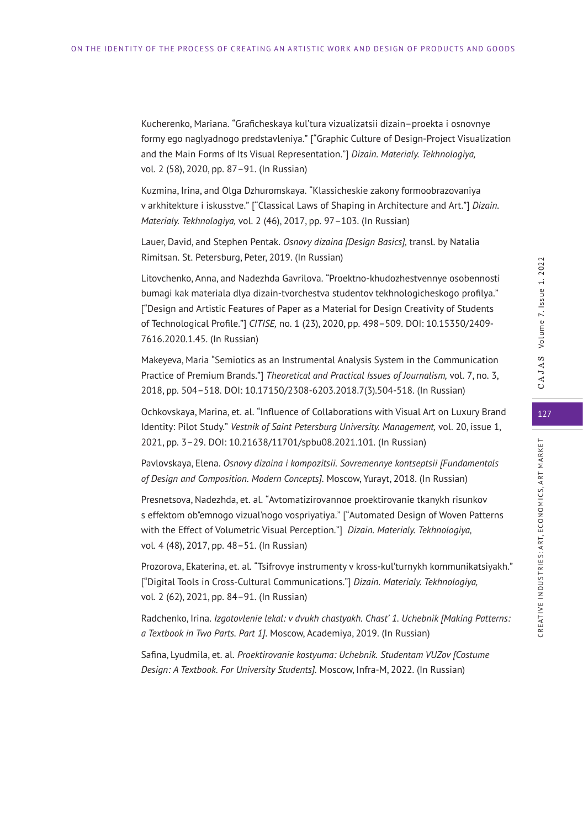Kucherenko, Mariana. "Graficheskaya kul'tura vizualizatsii dizain–proekta i osnovnye formy ego naglyadnogo predstavleniya." ["Graphic Culture of Design-Project Visualization and the Main Forms of Its Visual Representation."] *Dizain. Materialy. Tekhnologiya,* vol. 2 (58), 2020, pp. 87–91. (In Russian)

Kuzmina, Irina, and Olga Dzhuromskaya. "Klassicheskie zakony formoobrazovaniya v arkhitekture i iskusstve." ["Classical Laws of Shaping in Architecture and Art."] *Dizain. Materialy. Tekhnologiya,* vol. 2 (46), 2017, pp. 97–103. (In Russian)

Lauer, David, and Stephen Pentak. *Osnovy dizaina [Design Basics],* transl. by Natalia Rimitsan. St. Petersburg, Peter, 2019. (In Russian)

Litovchenko, Anna, and Nadezhda Gavrilova. "Proektno-khudozhestvennye osobennosti bumagi kak materiala dlya dizain-tvorchestva studentov tekhnologicheskogo profilya." ["Design and Artistic Features of Paper as a Material for Design Creativity of Students of Technological Profile."] *CITISE,* no. 1 (23), 2020, pp. 498–509. DOI: 10.15350/2409- 7616.2020.1.45. (In Russian)

Makeyeva, Maria "Semiotics as an Instrumental Analysis System in the Communication Practice of Premium Brands."] *Theoretical and Practical Issues of Journalism,* vol. 7, no. 3, 2018, pp. 504–518. DOI: 10.17150/2308-6203.2018.7(3).504-518. (In Russian)

Ochkovskaya, Marina, et. al. "Influence of Collaborations with Visual Art on Luxury Brand Identity: Pilot Study." *Vestnik of Saint Petersburg University. Management,* vol. 20, issue 1, 2021, pp. 3–29. DOI: 10.21638/11701/spbu08.2021.101. (In Russian)

Pavlovskaya, Elena. *Osnovy dizaina i kompozitsii. Sovremennye kontseptsii [Fundamentals of Design and Composition. Modern Concepts].* Moscow, Yurayt, 2018. (In Russian)

Presnetsova, Nadezhda, et. al. "Avtomatizirovannoe proektirovanie tkanykh risunkov s effektom ob"emnogo vizual'nogo vospriyatiya." ["Automated Design of Woven Patterns with the Effect of Volumetric Visual Perception."] *Dizain. Materialy. Tekhnologiya,* vol. 4 (48), 2017, pp. 48–51. (In Russian)

Prozorova, Ekaterina, et. al. "Tsifrovye instrumenty v kross-kul'turnykh kommunikatsiyakh." ["Digital Tools in Cross-Cultural Communications."] *Dizain. Materialy. Tekhnologiya,* vol. 2 (62), 2021, pp. 84–91. (In Russian)

Radchenko, Irina. *Izgotovlenie lekal: v dvukh chastyakh. Chast' 1. Uchebnik [Making Patterns: a Textbook in Two Parts. Part 1].* Moscow, Academiya, 2019. (In Russian)

Safina, Lyudmila, et. al. *Proektirovanie kostyuma: Uchebnik. Studentam VUZov [Costume Design: A Textbook. For University Students].* Moscow, Infra-M, 2022. (In Russian)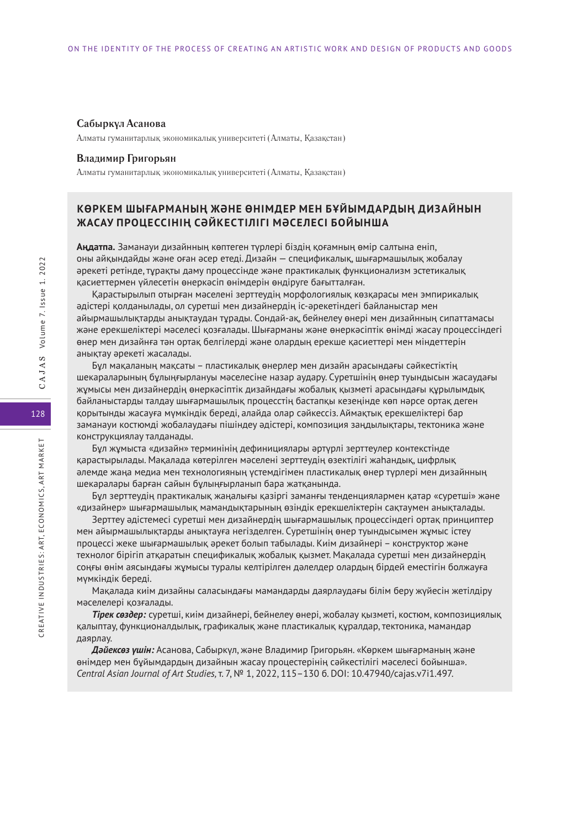#### **Сабыркүл Асанова**

Алматы гуманитарлық экономикалық университеті (Алматы, Қазақстан)

#### **Владимир Григорьян**

Алматы гуманитарлық экономикалық университеті (Алматы, Қазақстан)

# **КӨРКЕМ ШЫҒАРМАНЫҢ ЖӘНЕ ӨНІМДЕР МЕН БҰЙЫМДАРДЫҢ ДИЗАЙНЫН ЖАСАУ ПРОЦЕССІНІҢ СӘЙКЕСТІЛІГІ МӘСЕЛЕСІ БОЙЫНША**

**Аңдатпа.** Заманауи дизайнның көптеген түрлері біздің қоғамның өмір салтына еніп, оны айқындайды және оған әсер етеді. Дизайн — спецификалық, шығармашылық жобалау әрекеті ретінде, тұрақты даму процессінде және практикалық функционализм эстетикалық қасиеттермен үйлесетін өнеркәсіп өнімдерін өндіруге бағытталған.

Қарастырылып отырған мәселені зерттеудің морфологиялық көзқарасы мен эмпирикалық әдістері қолданылады, ол суретші мен дизайнердің іс-әрекетіндегі байланыстар мен айырмашылықтарды анықтаудан тұрады. Сондай-ақ, бейнелеу өнері мен дизайнның сипаттамасы және ерекшеліктері мәселесі қозғалады. Шығарманы және өнеркәсіптік өнімді жасау процессіндегі өнер мен дизайнға тән ортақ белгілерді және олардың ерекше қасиеттері мен міндеттерін анықтау әрекеті жасалады.

Бұл мақаланың мақсаты – пластикалық өнерлер мен дизайн арасындағы сәйкестіктің шекараларының бұлыңғырлануы мәселесіне назар аудару. Суретшінің өнер туындысын жасаудағы жұмысы мен дизайнердің өнеркәсіптік дизайндағы жобалық қызметі арасындағы құрылымдық байланыстарды талдау шығармашылық процесстің бастапқы кезеңінде көп нәрсе ортақ деген қорытынды жасауға мүмкіндік береді, алайда олар сәйкессіз. Аймақтық ерекшеліктері бар заманауи костюмді жобалаудағы пішіндеу әдістері, композиция заңдылықтары, тектоника және конструкциялау талданады.

Бұл жұмыста «дизайн» терминінің дефинициялары әртүрлі зерттеулер контекстінде қарастырылады. Мақалада көтерілген мәселені зерттеудің өзектілігі жаһандық, цифрлық әлемде жаңа медиа мен технологияның үстемдігімен пластикалық өнер түрлері мен дизайнның шекаралары барған сайын бұлыңғырланып бара жатқанында.

Бұл зерттеудің практикалық жаңалығы қазіргі заманғы тенденциялармен қатар «суретші» және «дизайнер» шығармашылық мамандықтарының өзіндік ерекшеліктерін сақтаумен анықталады.

Зерттеу әдістемесі суретші мен дизайнердің шығармашылық процессіндегі ортақ принциптер мен айырмашылықтарды анықтауға негізделген. Суретшінің өнер туындысымен жұмыс істеу процессі жеке шығармашылық әрекет болып табылады. Киім дизайнері – конструктор және технолог бірігіп атқаратын спецификалық жобалық қызмет. Мақалада суретші мен дизайнердің соңғы өнім аясындағы жұмысы туралы келтірілген дәлелдер олардың бірдей еместігін болжауға мүмкіндік береді.

Мақалада киім дизайны саласындағы мамандарды даярлаудағы білім беру жүйесін жетілдіру мәселелері қозғалады.

*Тірек сөздер:* суретші, киім дизайнері, бейнелеу өнері, жобалау қызметі, костюм, композициялық қалыптау, функционалдылық, графикалық және пластикалық құралдар, тектоника, мамандар даярлау.

*Дәйексөз үшін:* Асанова, Сабыркүл, және Владимир Григорьян. «Көркем шығарманың және өнімдер мен бұйымдардың дизайнын жасау процестерінің сәйкестілігі мәселесі бойынша». *Central Asian Journal of Art Studies,* т. 7, № 1, 2022, 115–130 б. DOI: 10.47940/cajas.v7i1.497.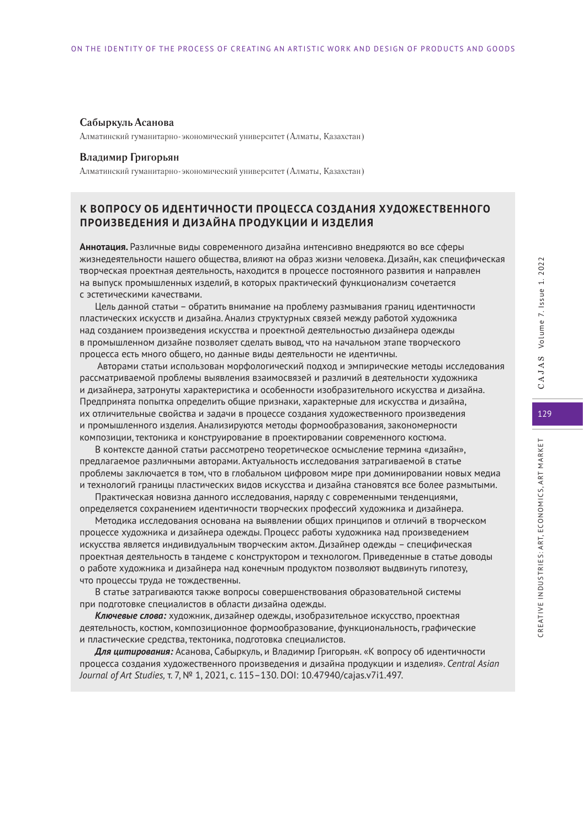#### **Сабыркуль Асанова**

Алматинский гуманитарно-экономический университет (Алматы, Казахстан)

#### **Владимир Григорьян**

Алматинский гуманитарно-экономический университет (Алматы, Казахстан)

# **К ВОПРОСУ ОБ ИДЕНТИЧНОСТИ ПРОЦЕССА СОЗДАНИЯ ХУДОЖЕСТВЕННОГО ПРОИЗВЕДЕНИЯ И ДИЗАЙНА ПРОДУКЦИИ И ИЗДЕЛИЯ**

**Аннотация.** Различные виды современного дизайна интенсивно внедряются во все сферы жизнедеятельности нашего общества, влияют на образ жизни человека. Дизайн, как специфическая творческая проектная деятельность, находится в процессе постоянного развития и направлен на выпуск промышленных изделий, в которых практический функционализм сочетается с эстетическими качествами.

Цель данной статьи – обратить внимание на проблему размывания границ идентичности пластических искусств и дизайна. Анализ структурных связей между работой художника над созданием произведения искусства и проектной деятельностью дизайнера одежды в промышленном дизайне позволяет сделать вывод, что на начальном этапе творческого процесса есть много общего, но данные виды деятельности не идентичны.

 Авторами статьи использован морфологический подход и эмпирические методы исследования рассматриваемой проблемы выявления взаимосвязей и различий в деятельности художника и дизайнера, затронуты характеристика и особенности изобразительного искусства и дизайна. Предпринята попытка определить общие признаки, характерные для искусства и дизайна, их отличительные свойства и задачи в процессе создания художественного произведения и промышленного изделия. Анализируются методы формообразования, закономерности композиции, тектоника и конструирование в проектировании современного костюма.

В контексте данной статьи рассмотрено теоретическое осмысление термина «дизайн», предлагаемое различными авторами. Актуальность исследования затрагиваемой в статье проблемы заключается в том, что в глобальном цифровом мире при доминировании новых медиа и технологий границы пластических видов искусства и дизайна становятся все более размытыми.

Практическая новизна данного исследования, наряду с современными тенденциями, определяется сохранением идентичности творческих профессий художника и дизайнера.

Методика исследования основана на выявлении общих принципов и отличий в творческом процессе художника и дизайнера одежды. Процесс работы художника над произведением искусства является индивидуальным творческим актом. Дизайнер одежды – специфическая проектная деятельность в тандеме с конструктором и технологом. Приведенные в статье доводы о работе художника и дизайнера над конечным продуктом позволяют выдвинуть гипотезу, что процессы труда не тождественны.

В статье затрагиваются также вопросы совершенствования образовательной системы при подготовке специалистов в области дизайна одежды.

*Ключевые слова:* художник, дизайнер одежды, изобразительное искусство, проектная деятельность, костюм, композиционное формообразование, функциональность, графические и пластические средства, тектоника, подготовка специалистов.

*Для цитирования:* Асанова, Сабыркуль, и Владимир Григорьян. «К вопросу об идентичности процесса создания художественного произведения и дизайна продукции и изделия». *Central Asian Journal of Art Studies,* т. 7, № 1, 2021, с. 115–130. DOI: 10.47940/cajas.v7i1.497.